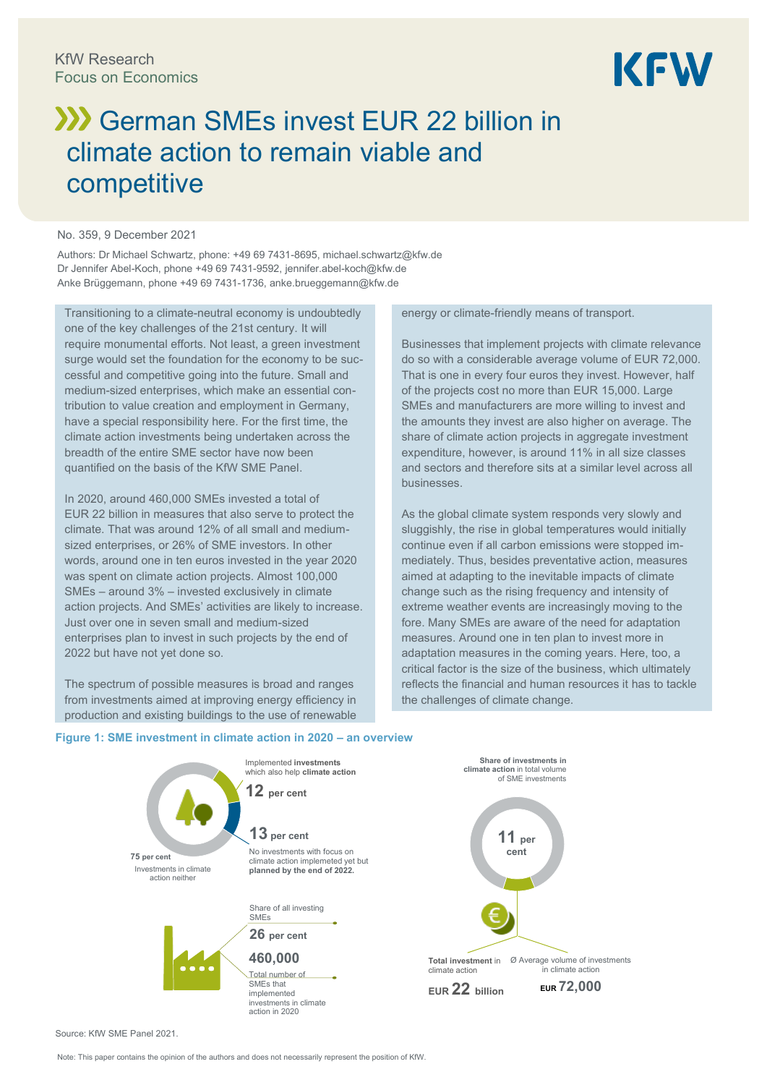

# **XX** German SMEs invest EUR 22 billion in climate action to remain viable and competitive

#### No. 359, 9 December 2021

Authors: Dr Michael Schwartz, phone: +49 69 7431-8695[, michael.schwartz@kfw.de](mailto:michael.schwartz@kfw.de) Dr Jennifer Abel-Koch, phone +49 69 7431-9592[, jennifer.abel-koch@kfw.de](mailto:jennifer.abel-koch@kfw.de) Anke Brüggemann, phone +49 69 7431-1736, anke.brueggemann@kfw.de

Transitioning to a climate-neutral economy is undoubtedly one of the key challenges of the 21st century. It will require monumental efforts. Not least, a green investment surge would set the foundation for the economy to be successful and competitive going into the future. Small and medium-sized enterprises, which make an essential contribution to value creation and employment in Germany, have a special responsibility here. For the first time, the climate action investments being undertaken across the breadth of the entire SME sector have now been quantified on the basis of the KfW SME Panel.

In 2020, around 460,000 SMEs invested a total of EUR 22 billion in measures that also serve to protect the climate. That was around 12% of all small and mediumsized enterprises, or 26% of SME investors. In other words, around one in ten euros invested in the year 2020 was spent on climate action projects. Almost 100,000 SMEs – around 3% – invested exclusively in climate action projects. And SMEs' activities are likely to increase. Just over one in seven small and medium-sized enterprises plan to invest in such projects by the end of 2022 but have not yet done so.

The spectrum of possible measures is broad and ranges from investments aimed at improving energy efficiency in production and existing buildings to the use of renewable energy or climate-friendly means of transport.

Businesses that implement projects with climate relevance do so with a considerable average volume of EUR 72,000. That is one in every four euros they invest. However, half of the projects cost no more than EUR 15,000. Large SMEs and manufacturers are more willing to invest and the amounts they invest are also higher on average. The share of climate action projects in aggregate investment expenditure, however, is around 11% in all size classes and sectors and therefore sits at a similar level across all businesses.

As the global climate system responds very slowly and sluggishly, the rise in global temperatures would initially continue even if all carbon emissions were stopped immediately. Thus, besides preventative action, measures aimed at adapting to the inevitable impacts of climate change such as the rising frequency and intensity of extreme weather events are increasingly moving to the fore. Many SMEs are aware of the need for adaptation measures. Around one in ten plan to invest more in adaptation measures in the coming years. Here, too, a critical factor is the size of the business, which ultimately reflects the financial and human resources it has to tackle the challenges of climate change.

#### **Figure 1: SME investment in climate action in 2020 – an overview**



Source: KfW SME Panel 2021.

Note: This paper contains the opinion of the authors and does not necessarily represent the position of KfW.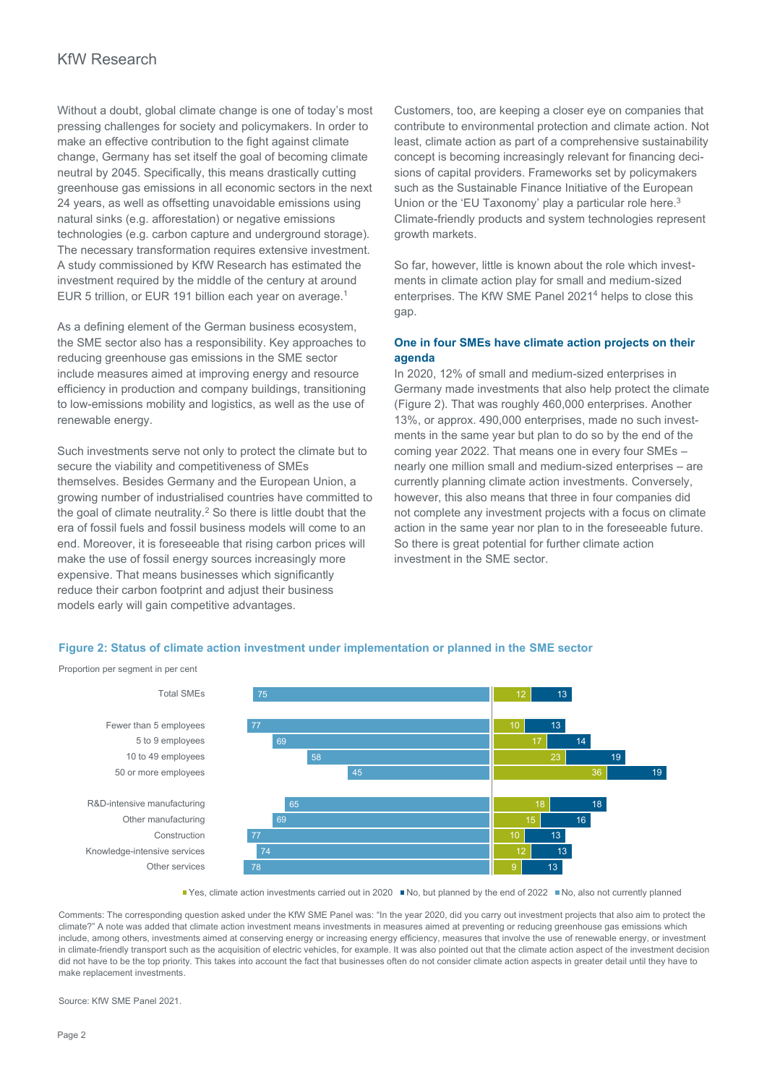Without a doubt, global climate change is one of today's most pressing challenges for society and policymakers. In order to make an effective contribution to the fight against climate change, Germany has set itself the goal of becoming climate neutral by 2045. Specifically, this means drastically cutting greenhouse gas emissions in all economic sectors in the next 24 years, as well as offsetting unavoidable emissions using natural sinks (e.g. afforestation) or negative emissions technologies (e.g. carbon capture and underground storage). The necessary transformation requires extensive investment. A study commissioned by KfW Research has estimated the investment required by the middle of the century at around EUR 5 trillion, or EUR 191 billion each year on average.<sup>1</sup>

As a defining element of the German business ecosystem, the SME sector also has a responsibility. Key approaches to reducing greenhouse gas emissions in the SME sector include measures aimed at improving energy and resource efficiency in production and company buildings, transitioning to low-emissions mobility and logistics, as well as the use of renewable energy.

Such investments serve not only to protect the climate but to secure the viability and competitiveness of SMEs themselves. Besides Germany and the European Union, a growing number of industrialised countries have committed to the goal of climate neutrality.<sup>2</sup> So there is little doubt that the era of fossil fuels and fossil business models will come to an end. Moreover, it is foreseeable that rising carbon prices will make the use of fossil energy sources increasingly more expensive. That means businesses which significantly reduce their carbon footprint and adjust their business models early will gain competitive advantages.

Customers, too, are keeping a closer eye on companies that contribute to environmental protection and climate action. Not least, climate action as part of a comprehensive sustainability concept is becoming increasingly relevant for financing decisions of capital providers. Frameworks set by policymakers such as the Sustainable Finance Initiative of the European Union or the 'EU Taxonomy' play a particular role here.<sup>3</sup> Climate-friendly products and system technologies represent growth markets.

So far, however, little is known about the role which investments in climate action play for small and medium-sized enterprises. The KfW SME Panel 2021<sup>4</sup> helps to close this gap.

# **One in four SMEs have climate action projects on their agenda**

In 2020, 12% of small and medium-sized enterprises in Germany made investments that also help protect the climate (Figure 2). That was roughly 460,000 enterprises. Another 13%, or approx. 490,000 enterprises, made no such investments in the same year but plan to do so by the end of the coming year 2022. That means one in every four SMEs – nearly one million small and medium-sized enterprises – are currently planning climate action investments. Conversely, however, this also means that three in four companies did not complete any investment projects with a focus on climate action in the same year nor plan to in the foreseeable future. So there is great potential for further climate action investment in the SME sector.

#### **Figure 2: Status of climate action investment under implementation or planned in the SME sector**

Proportion per segment in per cent



■ Yes, climate action investments carried out in 2020 ■ No, but planned by the end of 2022 ■ No, also not currently planned

Comments: The corresponding question asked under the KfW SME Panel was: "In the year 2020, did you carry out investment projects that also aim to protect the climate?" A note was added that climate action investment means investments in measures aimed at preventing or reducing greenhouse gas emissions which include, among others, investments aimed at conserving energy or increasing energy efficiency, measures that involve the use of renewable energy, or investment in climate-friendly transport such as the acquisition of electric vehicles, for example. It was also pointed out that the climate action aspect of the investment decision did not have to be the top priority. This takes into account the fact that businesses often do not consider climate action aspects in greater detail until they have to make replacement investments.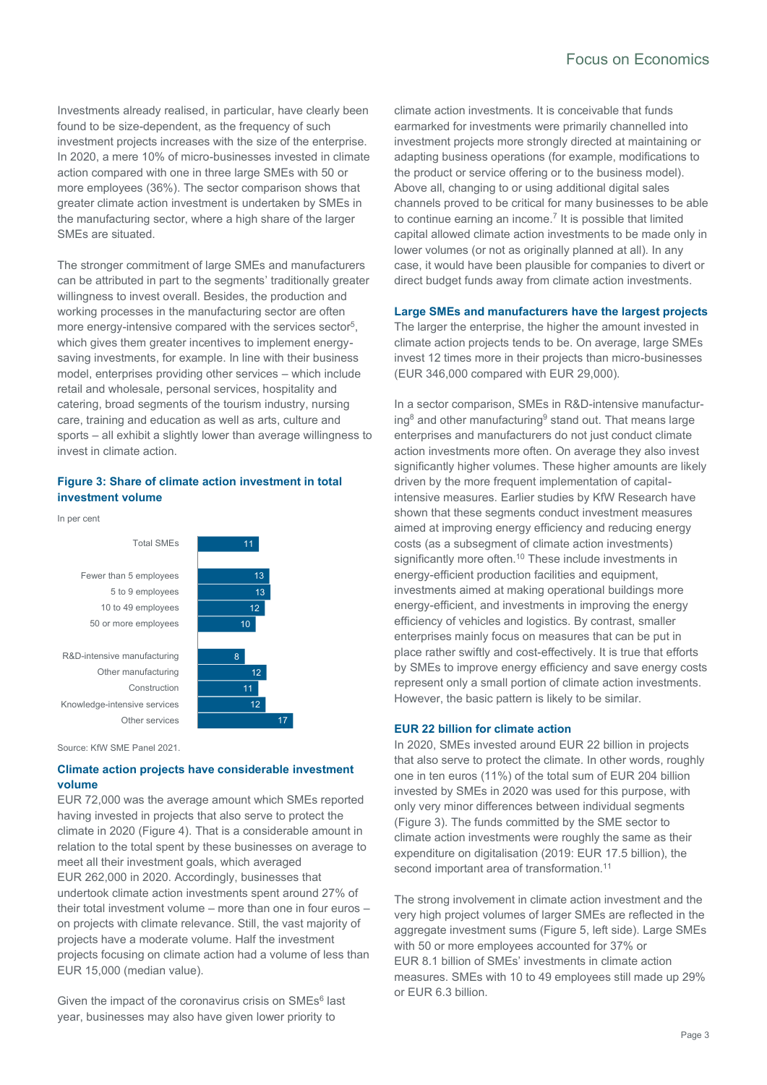# Focus on Economics

Investments already realised, in particular, have clearly been found to be size-dependent, as the frequency of such investment projects increases with the size of the enterprise. In 2020, a mere 10% of micro-businesses invested in climate action compared with one in three large SMEs with 50 or more employees (36%). The sector comparison shows that greater climate action investment is undertaken by SMEs in the manufacturing sector, where a high share of the larger SMEs are situated.

The stronger commitment of large SMEs and manufacturers can be attributed in part to the segments' traditionally greater willingness to invest overall. Besides, the production and working processes in the manufacturing sector are often more energy-intensive compared with the services sector<sup>5</sup>, which gives them greater incentives to implement energysaving investments, for example. In line with their business model, enterprises providing other services – which include retail and wholesale, personal services, hospitality and catering, broad segments of the tourism industry, nursing care, training and education as well as arts, culture and sports – all exhibit a slightly lower than average willingness to invest in climate action.

# **Figure 3: Share of climate action investment in total investment volume**





Source: KfW SME Panel 2021.

# **Climate action projects have considerable investment volume**

EUR 72,000 was the average amount which SMEs reported having invested in projects that also serve to protect the climate in 2020 (Figure 4). That is a considerable amount in relation to the total spent by these businesses on average to meet all their investment goals, which averaged EUR 262,000 in 2020. Accordingly, businesses that undertook climate action investments spent around 27% of their total investment volume – more than one in four euros – on projects with climate relevance. Still, the vast majority of projects have a moderate volume. Half the investment projects focusing on climate action had a volume of less than EUR 15,000 (median value).

Given the impact of the coronavirus crisis on SMEs<sup>6</sup> last year, businesses may also have given lower priority to

climate action investments. It is conceivable that funds earmarked for investments were primarily channelled into investment projects more strongly directed at maintaining or adapting business operations (for example, modifications to the product or service offering or to the business model). Above all, changing to or using additional digital sales channels proved to be critical for many businesses to be able to continue earning an income. 7 It is possible that limited capital allowed climate action investments to be made only in lower volumes (or not as originally planned at all). In any case, it would have been plausible for companies to divert or direct budget funds away from climate action investments.

#### **Large SMEs and manufacturers have the largest projects**

The larger the enterprise, the higher the amount invested in climate action projects tends to be. On average, large SMEs invest 12 times more in their projects than micro-businesses (EUR 346,000 compared with EUR 29,000).

In a sector comparison, SMEs in R&D-intensive manufacturing<sup>8</sup> and other manufacturing<sup>9</sup> stand out. That means large enterprises and manufacturers do not just conduct climate action investments more often. On average they also invest significantly higher volumes. These higher amounts are likely driven by the more frequent implementation of capitalintensive measures. Earlier studies by KfW Research have shown that these segments conduct investment measures aimed at improving energy efficiency and reducing energy costs (as a subsegment of climate action investments) significantly more often.<sup>10</sup> These include investments in energy-efficient production facilities and equipment, investments aimed at making operational buildings more energy-efficient, and investments in improving the energy efficiency of vehicles and logistics. By contrast, smaller enterprises mainly focus on measures that can be put in place rather swiftly and cost-effectively. It is true that efforts by SMEs to improve energy efficiency and save energy costs represent only a small portion of climate action investments. However, the basic pattern is likely to be similar.

#### **EUR 22 billion for climate action**

In 2020, SMEs invested around EUR 22 billion in projects that also serve to protect the climate. In other words, roughly one in ten euros (11%) of the total sum of EUR 204 billion invested by SMEs in 2020 was used for this purpose, with only very minor differences between individual segments (Figure 3). The funds committed by the SME sector to climate action investments were roughly the same as their expenditure on digitalisation (2019: EUR 17.5 billion), the second important area of transformation.<sup>11</sup>

The strong involvement in climate action investment and the very high project volumes of larger SMEs are reflected in the aggregate investment sums (Figure 5, left side). Large SMEs with 50 or more employees accounted for 37% or EUR 8.1 billion of SMEs' investments in climate action measures. SMEs with 10 to 49 employees still made up 29% or EUR 6.3 billion.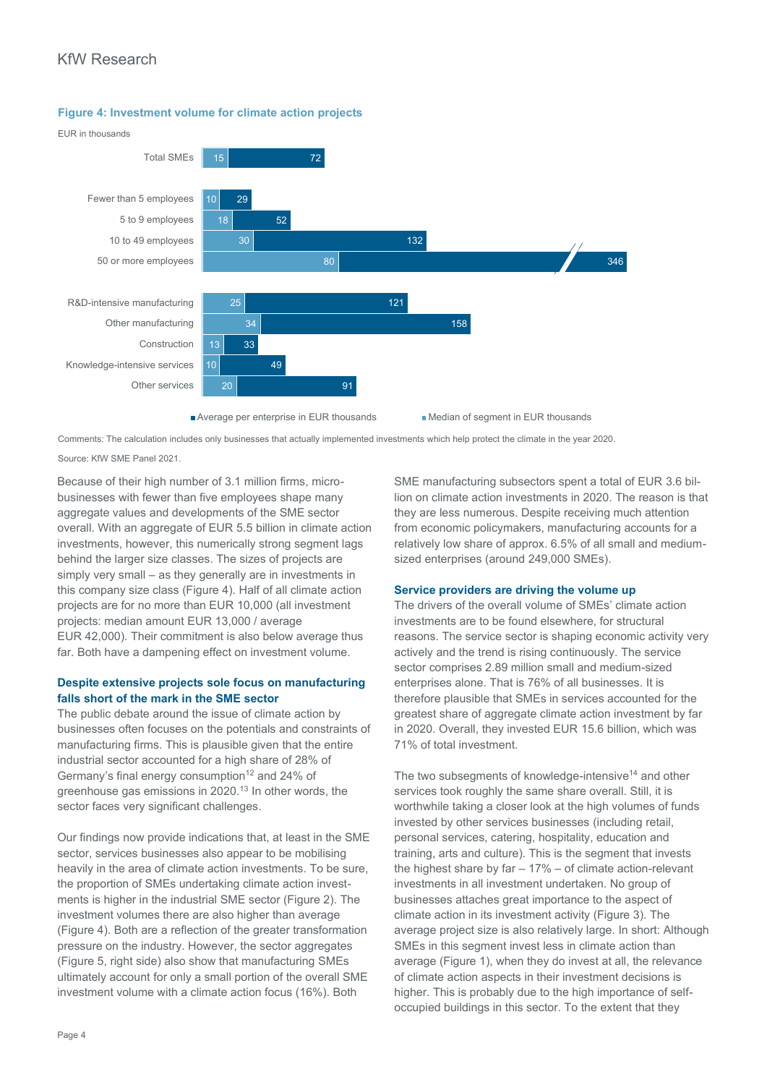# KfW Research

**Figure 4: Investment volume for climate action projects**



Comments: The calculation includes only businesses that actually implemented investments which help protect the climate in the year 2020.

Source: KfW SME Panel 2021.

Because of their high number of 3.1 million firms, microbusinesses with fewer than five employees shape many aggregate values and developments of the SME sector overall. With an aggregate of EUR 5.5 billion in climate action investments, however, this numerically strong segment lags behind the larger size classes. The sizes of projects are simply very small – as they generally are in investments in this company size class (Figure 4). Half of all climate action projects are for no more than EUR 10,000 (all investment projects: median amount EUR 13,000 / average EUR 42,000). Their commitment is also below average thus far. Both have a dampening effect on investment volume.

# **Despite extensive projects sole focus on manufacturing falls short of the mark in the SME sector**

The public debate around the issue of climate action by businesses often focuses on the potentials and constraints of manufacturing firms. This is plausible given that the entire industrial sector accounted for a high share of 28% of Germany's final energy consumption<sup>12</sup> and 24% of greenhouse gas emissions in 2020.<sup>13</sup> In other words, the sector faces very significant challenges.

Our findings now provide indications that, at least in the SME sector, services businesses also appear to be mobilising heavily in the area of climate action investments. To be sure, the proportion of SMEs undertaking climate action investments is higher in the industrial SME sector (Figure 2). The investment volumes there are also higher than average (Figure 4). Both are a reflection of the greater transformation pressure on the industry. However, the sector aggregates (Figure 5, right side) also show that manufacturing SMEs ultimately account for only a small portion of the overall SME investment volume with a climate action focus (16%). Both

SME manufacturing subsectors spent a total of EUR 3.6 billion on climate action investments in 2020. The reason is that they are less numerous. Despite receiving much attention from economic policymakers, manufacturing accounts for a relatively low share of approx. 6.5% of all small and mediumsized enterprises (around 249,000 SMEs).

# **Service providers are driving the volume up**

The drivers of the overall volume of SMEs' climate action investments are to be found elsewhere, for structural reasons. The service sector is shaping economic activity very actively and the trend is rising continuously. The service sector comprises 2.89 million small and medium-sized enterprises alone. That is 76% of all businesses. It is therefore plausible that SMEs in services accounted for the greatest share of aggregate climate action investment by far in 2020. Overall, they invested EUR 15.6 billion, which was 71% of total investment.

The two subsegments of knowledge-intensive<sup>14</sup> and other services took roughly the same share overall. Still, it is worthwhile taking a closer look at the high volumes of funds invested by other services businesses (including retail, personal services, catering, hospitality, education and training, arts and culture). This is the segment that invests the highest share by far – 17% – of climate action-relevant investments in all investment undertaken. No group of businesses attaches great importance to the aspect of climate action in its investment activity (Figure 3). The average project size is also relatively large. In short: Although SMEs in this segment invest less in climate action than average (Figure 1), when they do invest at all, the relevance of climate action aspects in their investment decisions is higher. This is probably due to the high importance of selfoccupied buildings in this sector. To the extent that they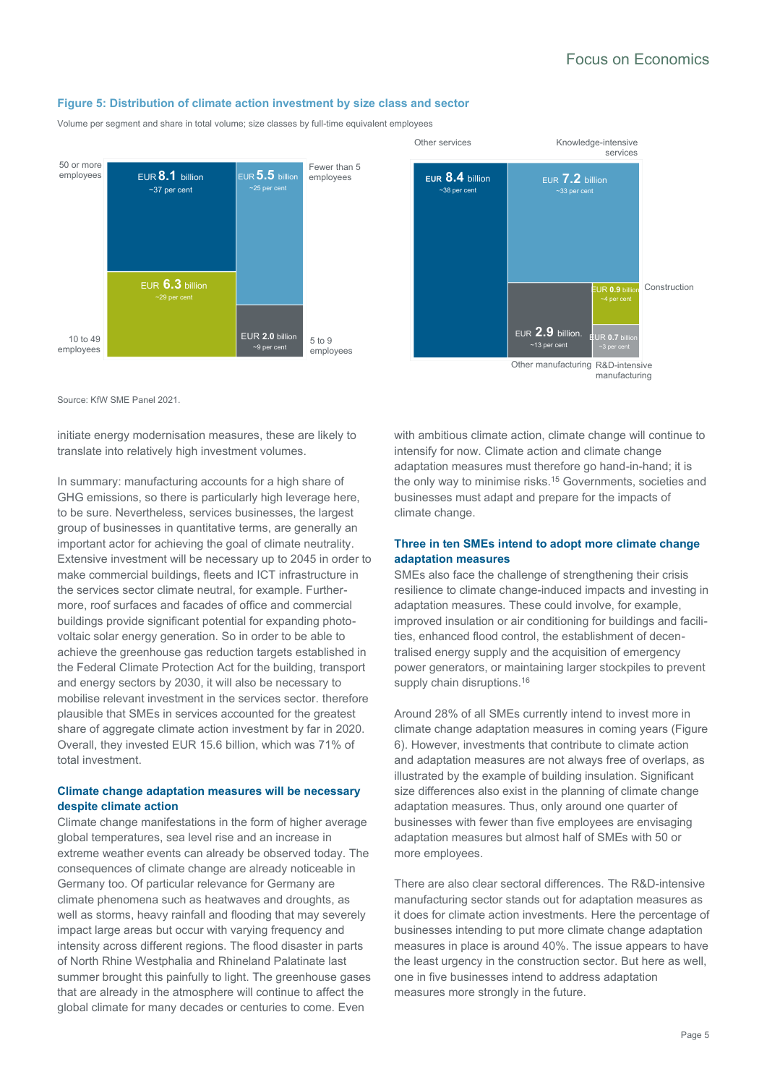#### **Figure 5: Distribution of climate action investment by size class and sector**

Volume per segment and share in total volume; size classes by full-time equivalent employees





Source: KfW SME Panel 2021.

initiate energy modernisation measures, these are likely to translate into relatively high investment volumes.

In summary: manufacturing accounts for a high share of GHG emissions, so there is particularly high leverage here, to be sure. Nevertheless, services businesses, the largest group of businesses in quantitative terms, are generally an important actor for achieving the goal of climate neutrality. Extensive investment will be necessary up to 2045 in order to make commercial buildings, fleets and ICT infrastructure in the services sector climate neutral, for example. Furthermore, roof surfaces and facades of office and commercial buildings provide significant potential for expanding photovoltaic solar energy generation. So in order to be able to achieve the greenhouse gas reduction targets established in the Federal Climate Protection Act for the building, transport and energy sectors by 2030, it will also be necessary to mobilise relevant investment in the services sector. therefore plausible that SMEs in services accounted for the greatest share of aggregate climate action investment by far in 2020. Overall, they invested EUR 15.6 billion, which was 71% of total investment.

#### **Climate change adaptation measures will be necessary despite climate action**

Climate change manifestations in the form of higher average global temperatures, sea level rise and an increase in extreme weather events can already be observed today. The consequences of climate change are already noticeable in Germany too. Of particular relevance for Germany are climate phenomena such as heatwaves and droughts, as well as storms, heavy rainfall and flooding that may severely impact large areas but occur with varying frequency and intensity across different regions. The flood disaster in parts of North Rhine Westphalia and Rhineland Palatinate last summer brought this painfully to light. The greenhouse gases that are already in the atmosphere will continue to affect the global climate for many decades or centuries to come. Even

with ambitious climate action, climate change will continue to intensify for now. Climate action and climate change adaptation measures must therefore go hand-in-hand; it is the only way to minimise risks.<sup>15</sup> Governments, societies and businesses must adapt and prepare for the impacts of climate change.

#### **Three in ten SMEs intend to adopt more climate change adaptation measures**

SMEs also face the challenge of strengthening their crisis resilience to climate change-induced impacts and investing in adaptation measures. These could involve, for example, improved insulation or air conditioning for buildings and facilities, enhanced flood control, the establishment of decentralised energy supply and the acquisition of emergency power generators, or maintaining larger stockpiles to prevent supply chain disruptions.<sup>16</sup>

Around 28% of all SMEs currently intend to invest more in climate change adaptation measures in coming years (Figure 6). However, investments that contribute to climate action and adaptation measures are not always free of overlaps, as illustrated by the example of building insulation. Significant size differences also exist in the planning of climate change adaptation measures. Thus, only around one quarter of businesses with fewer than five employees are envisaging adaptation measures but almost half of SMEs with 50 or more employees.

There are also clear sectoral differences. The R&D-intensive manufacturing sector stands out for adaptation measures as it does for climate action investments. Here the percentage of businesses intending to put more climate change adaptation measures in place is around 40%. The issue appears to have the least urgency in the construction sector. But here as well, one in five businesses intend to address adaptation measures more strongly in the future.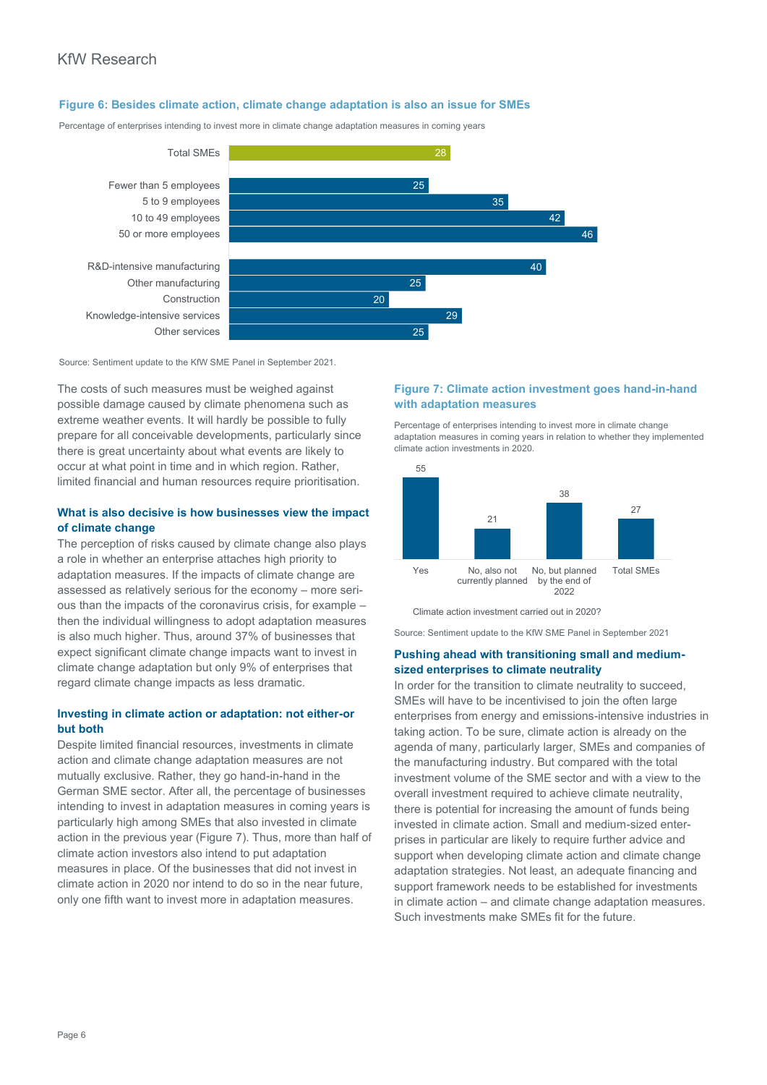#### **Figure 6: Besides climate action, climate change adaptation is also an issue for SMEs**

Percentage of enterprises intending to invest more in climate change adaptation measures in coming years



Source: Sentiment update to the KfW SME Panel in September 2021.

The costs of such measures must be weighed against possible damage caused by climate phenomena such as extreme weather events. It will hardly be possible to fully prepare for all conceivable developments, particularly since there is great uncertainty about what events are likely to occur at what point in time and in which region. Rather, limited financial and human resources require prioritisation.

#### **What is also decisive is how businesses view the impact of climate change**

The perception of risks caused by climate change also plays a role in whether an enterprise attaches high priority to adaptation measures. If the impacts of climate change are assessed as relatively serious for the economy – more serious than the impacts of the coronavirus crisis, for example – then the individual willingness to adopt adaptation measures is also much higher. Thus, around 37% of businesses that expect significant climate change impacts want to invest in climate change adaptation but only 9% of enterprises that regard climate change impacts as less dramatic.

# **Investing in climate action or adaptation: not either-or but both**

Despite limited financial resources, investments in climate action and climate change adaptation measures are not mutually exclusive. Rather, they go hand-in-hand in the German SME sector. After all, the percentage of businesses intending to invest in adaptation measures in coming years is particularly high among SMEs that also invested in climate action in the previous year (Figure 7). Thus, more than half of climate action investors also intend to put adaptation measures in place. Of the businesses that did not invest in climate action in 2020 nor intend to do so in the near future, only one fifth want to invest more in adaptation measures.

# **Figure 7: Climate action investment goes hand-in-hand with adaptation measures**

Percentage of enterprises intending to invest more in climate change adaptation measures in coming years in relation to whether they implemented climate action investments in 2020.



Climate action investment carried out in 2020?

Source: Sentiment update to the KfW SME Panel in September 2021

#### **Pushing ahead with transitioning small and mediumsized enterprises to climate neutrality**

In order for the transition to climate neutrality to succeed, SMEs will have to be incentivised to join the often large enterprises from energy and emissions-intensive industries in taking action. To be sure, climate action is already on the agenda of many, particularly larger, SMEs and companies of the manufacturing industry. But compared with the total investment volume of the SME sector and with a view to the overall investment required to achieve climate neutrality, there is potential for increasing the amount of funds being invested in climate action. Small and medium-sized enterprises in particular are likely to require further advice and support when developing climate action and climate change adaptation strategies. Not least, an adequate financing and support framework needs to be established for investments in climate action – and climate change adaptation measures. Such investments make SMEs fit for the future.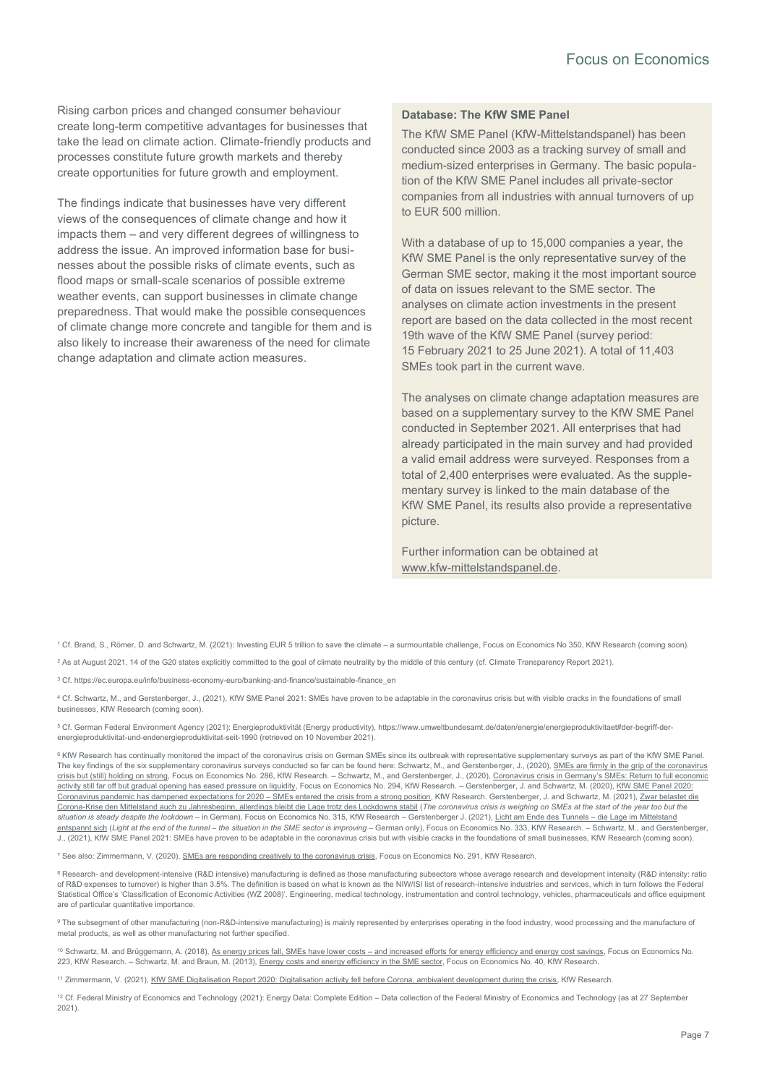Rising carbon prices and changed consumer behaviour create long-term competitive advantages for businesses that take the lead on climate action. Climate-friendly products and processes constitute future growth markets and thereby create opportunities for future growth and employment.

The findings indicate that businesses have very different views of the consequences of climate change and how it impacts them – and very different degrees of willingness to address the issue. An improved information base for businesses about the possible risks of climate events, such as flood maps or small-scale scenarios of possible extreme weather events, can support businesses in climate change preparedness. That would make the possible consequences of climate change more concrete and tangible for them and is also likely to increase their awareness of the need for climate change adaptation and climate action measures.

#### **Database: The KfW SME Panel**

The KfW SME Panel (KfW-Mittelstandspanel) has been conducted since 2003 as a tracking survey of small and medium-sized enterprises in Germany. The basic population of the KfW SME Panel includes all private-sector companies from all industries with annual turnovers of up to EUR 500 million.

With a database of up to 15,000 companies a year, the KfW SME Panel is the only representative survey of the German SME sector, making it the most important source of data on issues relevant to the SME sector. The analyses on climate action investments in the present report are based on the data collected in the most recent 19th wave of the KfW SME Panel (survey period: 15 February 2021 to 25 June 2021). A total of 11,403 SMEs took part in the current wave.

The analyses on climate change adaptation measures are based on a supplementary survey to the KfW SME Panel conducted in September 2021. All enterprises that had already participated in the main survey and had provided a valid email address were surveyed. Responses from a total of 2,400 enterprises were evaluated. As the supplementary survey is linked to the main database of the KfW SME Panel, its results also provide a representative picture.

Further information can be obtained at [www.kfw-mittelstandspanel.de.](http://www.kfw-mittelstandspanel.de/)

<sup>1</sup> Cf. Brand, S., Römer, D. and Schwartz, M. (2021): Investing EUR 5 trillion to save the climate – a surmountable challenge, Focus on Economics No 350, KfW Research (coming soon).

<sup>2</sup> As at August 2021, 14 of the G20 states explicitly committed to the goal of climate neutrality by the middle of this century (cf. Climate Transparency Report 2021).

<sup>3</sup> Cf. https://ec.europa.eu/info/business-economy-euro/banking-and-finance/sustainable-finance\_en

<sup>4</sup> Cf. Schwartz, M., and Gerstenberger, J., (2021), KfW SME Panel 2021: SMEs have proven to be adaptable in the coronavirus crisis but with visible cracks in the foundations of small businesses, KfW Research (coming soon).

<sup>5</sup> Cf. German Federal Environment Agency (2021): Energieproduktivität (Energy productivity), [https://www.umweltbundesamt.de/daten/energie/energieproduktivitaet#der-begriff-der](https://www.umweltbundesamt.de/daten/energie/energieproduktivitaet#der-begriff-der-energieproduktivitat-und-endenergieproduktivitat-seit-1990)[energieproduktivitat-und-endenergieproduktivitat-seit-1990](https://www.umweltbundesamt.de/daten/energie/energieproduktivitaet#der-begriff-der-energieproduktivitat-und-endenergieproduktivitat-seit-1990) (retrieved on 10 November 2021).

<sup>6</sup> KfW Research has continually monitored the impact of the coronavirus crisis on German SMEs since its outbreak with representative supplementary surveys as part of the KfW SME Panel. The key findings of the six supplementary coronavirus surveys conducted so far can be found here: Schwartz, M., and Gerstenberger, J., (2020), SMEs are firmly in the grip of the coronavirus [crisis but \(still\) holding on strong,](https://www.kfw.de/PDF/Download-Center/Konzernthemen/Research/PDF-Dokumente-Fokus-Volkswirtschaft/Fokus-englische-Dateien/Fokus-2020-EN/Focus-No.-286-April-2020-Corona-and-SMEs.pdf) Focus on Economics No. 286, KfW Research. - Schwartz, M., and Gerstenberger, J., (2020), Coronavirus crisis in Germany's SMEs: Return to full economic [activity still far off but gradual opening has eased pressure on liquidity,](https://www.kfw.de/PDF/Download-Center/Konzernthemen/Research/PDF-Dokumente-Fokus-Volkswirtschaft/Fokus-englische-Dateien/Fokus-2020-EN/Focus-No.-294-June-2020-Corona-SME-2.pdf) Focus on Economics No. 294, KfW Research. – Gerstenberger, J. and Schwartz, M. (2020), KfW SME Panel 2020: [Coronavirus pandemic has dampened expectations for 2020](https://www.kfw.de/PDF/Download-Center/Konzernthemen/Research/PDF-Dokumente-KfW-Mittelstandspanel/PDF-Dateien-Mittelstandspanel-(EN)/KfW-SME-Panel-2020_en.pdf) – SMEs entered the crisis from a strong position, KfW Research. Gerstenberger, J. and Schwartz, M. (2021), Zwar belastet die [Corona-Krise den Mittelstand auch zu Jahresbeginn, allerdings bleibt die Lage trotz des Lockdowns stabil](https://www.kfw.de/PDF/Download-Center/Konzernthemen/Research/PDF-Dokumente-Fokus-Volkswirtschaft/Fokus-2021/Fokus-Nr.-315-Februar-2021-Corona-IV.pdf) (*The coronavirus crisis is weighing on SMEs at the start of the year too but the situation is steady despite the lockdown* – in German), Focus on Economics No. 315, KfW Research – Gerstenberger J. (2021)[, Licht am Ende des Tunnels](https://www.kfw.de/PDF/Download-Center/Konzernthemen/Research/PDF-Dokumente-Fokus-Volkswirtschaft/Fokus-2021/Fokus-Nr.-333-Juni-2021-Corona-V.pdf) – die Lage im Mittelstand [entspannt sich](https://www.kfw.de/PDF/Download-Center/Konzernthemen/Research/PDF-Dokumente-Fokus-Volkswirtschaft/Fokus-2021/Fokus-Nr.-333-Juni-2021-Corona-V.pdf) (Light at the end of the tunnel – the situation in the SME sector is improving – German only), Focus on Economics No. 333, KfW Research. – Schwartz, M., and Gerstenberger, J., (2021), KfW SME Panel 2021: SMEs have proven to be adaptable in the coronavirus crisis but with visible cracks in the foundations of small businesses, KfW Research (coming soon).

<sup>7</sup> See also: Zimmermann, V. (2020)[, SMEs are responding creatively to the coronavirus crisis,](https://www.kfw.de/PDF/Download-Center/Konzernthemen/Research/PDF-Dokumente-Fokus-Volkswirtschaft/Fokus-englische-Dateien/Fokus-2020-EN/Focus-No.-291-June-2020-SME-ideas-corona.pdf) Focus on Economics No. 291, KfW Research.

8 Research- and development-intensive (R&D intensive) manufacturing is defined as those manufacturing subsectors whose average research and development intensity (R&D intensity: ratio of R&D expenses to turnover) is higher than 3.5%. The definition is based on what is known as the NIW/ISI list of research-intensive industries and services, which in turn follows the Federal Statistical Office's 'Classification of Economic Activities (WZ 2008)'. Engineering, medical technology, instrumentation and control technology, vehicles, pharmaceuticals and office equipment are of particular quantitative importance.

9 The subsegment of other manufacturing (non-R&D-intensive manufacturing) is mainly represented by enterprises operating in the food industry, wood processing and the manufacture of metal products, as well as other manufacturing not further specified.

10 Schwartz, M. and Brüggemann, A. (2018), As energy prices fall, SMEs have lower costs - [and increased efforts for energy efficiency and energy cost savings,](https://www.kfw.de/PDF/Download-Center/Konzernthemen/Research/PDF-Dokumente-Fokus-Volkswirtschaft/Fokus-englische-Dateien/Fokus-2018-EN/Fokus-Nr.-223-September-2018-Energy-costs-SMEs.pdf) Focus on Economics No. 223, KfW Research. – Schwartz, M. and Braun, M. (2013)[, Energy costs and energy efficiency in the SME sector,](https://www.kfw.de/PDF/Download-Center/Konzernthemen/Research/PDF-Dokumente-Fokus-Volkswirtschaft/Fokus-englische-Dateien/Fokus-2013-EN/Fokus-Nr.-40-Dezember-2013-_EN.pdf) Focus on Economics No. 40, KfW Research.

<sup>11</sup> Zimmermann, V. (2021)[, KfW SME Digitalisation Report 2020: Digitalisation activity fell before Corona, ambivalent development during the crisis,](https://www.kfw.de/PDF/Download-Center/Konzernthemen/Research/PDF-Dokumente-Digitalisierungsbericht-Mittelstand/KfW-Digitalisierungsbericht-EN/KfW-Digitalisation-Report-2020.pdf) KfW Research.

<sup>12</sup> Cf. Federal Ministry of Economics and Technology (2021): Energy Data: Complete Edition – Data collection of the Federal Ministry of Economics and Technology (as at 27 September 2021).